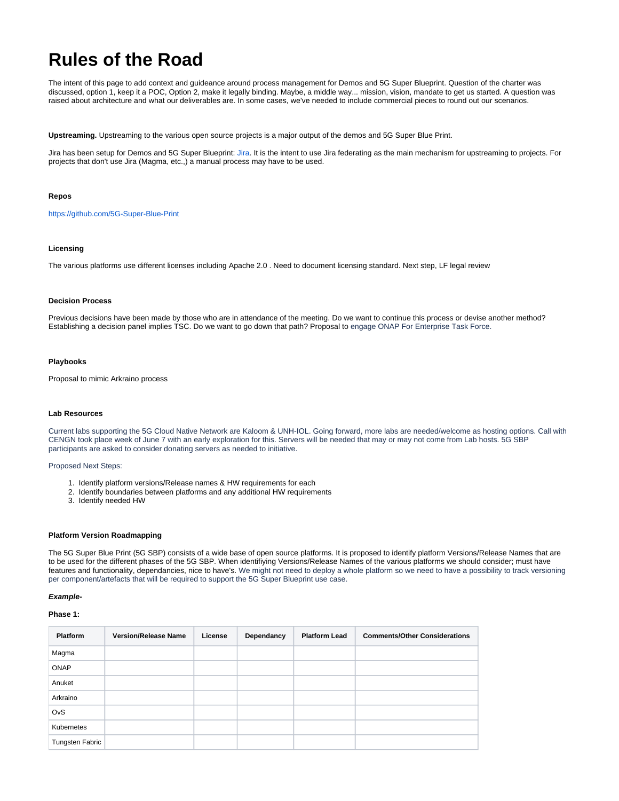# **Rules of the Road**

The intent of this page to add context and guideance around process management for Demos and 5G Super Blueprint. Question of the charter was discussed, option 1, keep it a POC, Option 2, make it legally binding. Maybe, a middle way... mission, vision, mandate to get us started. A question was raised about architecture and what our deliverables are. In some cases, we've needed to include commercial pieces to round out our scenarios.

**Upstreaming.** Upstreaming to the various open source projects is a major output of the demos and 5G Super Blue Print.

Jira has been setup for Demos and 5G Super Blueprint: [Jira.](https://jira.lfnetworking.org/projects/BLUEPRINT/summary) It is the intent to use Jira federating as the main mechanism for upstreaming to projects. For projects that don't use Jira (Magma, etc.,) a manual process may have to be used.

## **Repos**

<https://github.com/5G-Super-Blue-Print>

# **Licensing**

The various platforms use different licenses including Apache 2.0 . Need to document licensing standard. Next step, LF legal review

## **Decision Process**

Previous decisions have been made by those who are in attendance of the meeting. Do we want to continue this process or devise another method? Establishing a decision panel implies TSC. Do we want to go down that path? Proposal to engage ONAP For Enterprise Task Force.

## **Playbooks**

Proposal to mimic Arkraino process

## **Lab Resources**

Current labs supporting the 5G Cloud Native Network are Kaloom & UNH-IOL. Going forward, more labs are needed/welcome as hosting options. Call with CENGN took place week of June 7 with an early exploration for this. Servers will be needed that may or may not come from Lab hosts. 5G SBP participants are asked to consider donating servers as needed to initiative.

Proposed Next Steps:

- 1. Identify platform versions/Release names & HW requirements for each
- 2. Identify boundaries between platforms and any additional HW requirements
- 3. Identify needed HW

#### **Platform Version Roadmapping**

The 5G Super Blue Print (5G SBP) consists of a wide base of open source platforms. It is proposed to identify platform Versions/Release Names that are to be used for the different phases of the 5G SBP. When identifiying Versions/Release Names of the various platforms we should consider; must have features and functionality, dependancies, nice to have's. We might not need to deploy a whole platform so we need to have a possibility to track versioning per component/artefacts that will be required to support the 5G Super Blueprint use case.

#### **Example-**

# **Phase 1:**

| <b>Platform</b>        | <b>Version/Release Name</b> | License | Dependancy | <b>Platform Lead</b> | <b>Comments/Other Considerations</b> |
|------------------------|-----------------------------|---------|------------|----------------------|--------------------------------------|
| Magma                  |                             |         |            |                      |                                      |
| <b>ONAP</b>            |                             |         |            |                      |                                      |
| Anuket                 |                             |         |            |                      |                                      |
| Arkraino               |                             |         |            |                      |                                      |
| OvS                    |                             |         |            |                      |                                      |
| Kubernetes             |                             |         |            |                      |                                      |
| <b>Tungsten Fabric</b> |                             |         |            |                      |                                      |